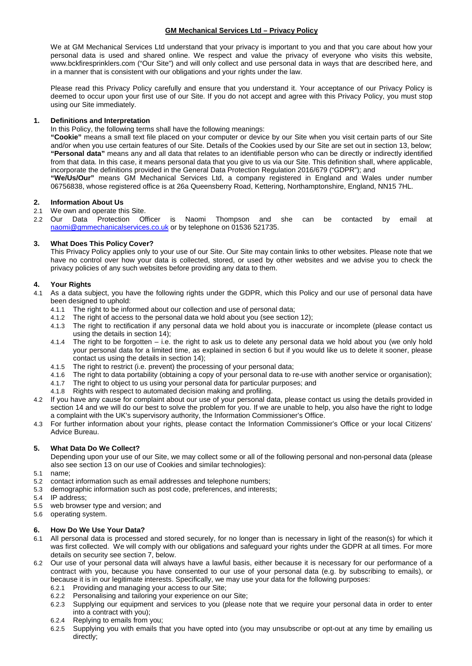# **GM Mechanical Services Ltd – Privacy Policy**

We at GM Mechanical Services Ltd understand that your privacy is important to you and that you care about how your personal data is used and shared online. We respect and value the privacy of everyone who visits this website, www.bckfiresprinklers.com ("Our Site") and will only collect and use personal data in ways that are described here, and in a manner that is consistent with our obligations and your rights under the law.

Please read this Privacy Policy carefully and ensure that you understand it. Your acceptance of our Privacy Policy is deemed to occur upon your first use of our Site. If you do not accept and agree with this Privacy Policy, you must stop using our Site immediately.

## **1. Definitions and Interpretation**

In this Policy, the following terms shall have the following meanings:

**"Cookie"** means a small text file placed on your computer or device by our Site when you visit certain parts of our Site and/or when you use certain features of our Site. Details of the Cookies used by our Site are set out in section 13, below; **"Personal data"** means any and all data that relates to an identifiable person who can be directly or indirectly identified from that data. In this case, it means personal data that you give to us via our Site. This definition shall, where applicable, incorporate the definitions provided in the General Data Protection Regulation 2016/679 ("GDPR"); and

**"We/Us/Our"** means GM Mechanical Services Ltd, a company registered in England and Wales under number 06756838, whose registered office is at 26a Queensberry Road, Kettering, Northamptonshire, England, NN15 7HL.

# **2. Information About Us**

- 2.1 We own and operate this Site.
- 2.2 Our Data Protection Officer is Naomi Thompson and she can be contacted by email at [naomi@gmmechanicalservices.co.uk](mailto:naomi@gmmechanicalservices.co.uk) or by telephone on 01536 521735.

# **3. What Does This Policy Cover?**

This Privacy Policy applies only to your use of our Site. Our Site may contain links to other websites. Please note that we have no control over how your data is collected, stored, or used by other websites and we advise you to check the privacy policies of any such websites before providing any data to them.

# **4. Your Rights**

- 4.1 As a data subject, you have the following rights under the GDPR, which this Policy and our use of personal data have been designed to uphold:
	- 4.1.1 The right to be informed about our collection and use of personal data;
	- 4.1.2 The right of access to the personal data we hold about you (see section 12);
	- 4.1.3 The right to rectification if any personal data we hold about you is inaccurate or incomplete (please contact us using the details in section 14);
	- 4.1.4 The right to be forgotten i.e. the right to ask us to delete any personal data we hold about you (we only hold your personal data for a limited time, as explained in section 6 but if you would like us to delete it sooner, please contact us using the details in section 14);
	- 4.1.5 The right to restrict (i.e. prevent) the processing of your personal data;
	- 4.1.6 The right to data portability (obtaining a copy of your personal data to re-use with another service or organisation);<br>4.1.7 The right to object to us using your personal data for particular purposes; and
	- The right to object to us using your personal data for particular purposes; and
	- 4.1.8 Rights with respect to automated decision making and profiling.
- 4.2 If you have any cause for complaint about our use of your personal data, please contact us using the details provided in section 14 and we will do our best to solve the problem for you. If we are unable to help, you also have the right to lodge a complaint with the UK's supervisory authority, the Information Commissioner's Office.
- 4.3 For further information about your rights, please contact the Information Commissioner's Office or your local Citizens' Advice Bureau.

# **5. What Data Do We Collect?**

Depending upon your use of our Site, we may collect some or all of the following personal and non-personal data (please also see section 13 on our use of Cookies and similar technologies):

- 5.1 name;
- 5.2 contact information such as email addresses and telephone numbers;
- 5.3 demographic information such as post code, preferences, and interests;
- 5.4 IP address;
- 5.5 web browser type and version; and
- 5.6 operating system.

# **6. How Do We Use Your Data?**

- 6.1 All personal data is processed and stored securely, for no longer than is necessary in light of the reason(s) for which it was first collected. We will comply with our obligations and safeguard your rights under the GDPR at all times. For more details on security see section 7, below.
- 6.2 Our use of your personal data will always have a lawful basis, either because it is necessary for our performance of a contract with you, because you have consented to our use of your personal data (e.g. by subscribing to emails), or because it is in our legitimate interests. Specifically, we may use your data for the following purposes:
	- 6.2.1 Providing and managing your access to our Site;
	- 6.2.2 Personalising and tailoring your experience on our Site;
	- 6.2.3 Supplying our equipment and services to you (please note that we require your personal data in order to enter into a contract with you);
	- 6.2.4 Replying to emails from you;<br>6.2.5 Supplying you with emails the
	- Supplying you with emails that you have opted into (you may unsubscribe or opt-out at any time by emailing us directly;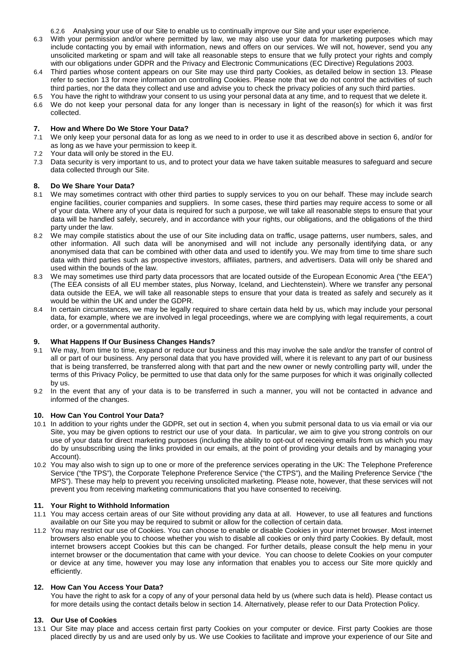6.2.6 Analysing your use of our Site to enable us to continually improve our Site and your user experience.

- 6.3 With your permission and/or where permitted by law, we may also use your data for marketing purposes which may include contacting you by email with information, news and offers on our services. We will not, however, send you any unsolicited marketing or spam and will take all reasonable steps to ensure that we fully protect your rights and comply with our obligations under GDPR and the Privacy and Electronic Communications (EC Directive) Regulations 2003.
- 6.4 Third parties whose content appears on our Site may use third party Cookies, as detailed below in section 13. Please refer to section 13 for more information on controlling Cookies. Please note that we do not control the activities of such third parties, nor the data they collect and use and advise you to check the privacy policies of any such third parties.
- 6.5 You have the right to withdraw your consent to us using your personal data at any time, and to request that we delete it. 6.6 We do not keep your personal data for any longer than is necessary in light of the reason(s) for which it was first collected.

# **7. How and Where Do We Store Your Data?**

- We only keep your personal data for as long as we need to in order to use it as described above in section 6, and/or for as long as we have your permission to keep it.
- 7.2 Your data will only be stored in the EU.
- 7.3 Data security is very important to us, and to protect your data we have taken suitable measures to safeguard and secure data collected through our Site.

## **8. Do We Share Your Data?**

- 8.1 We may sometimes contract with other third parties to supply services to you on our behalf. These may include search engine facilities, courier companies and suppliers. In some cases, these third parties may require access to some or all of your data. Where any of your data is required for such a purpose, we will take all reasonable steps to ensure that your data will be handled safely, securely, and in accordance with your rights, our obligations, and the obligations of the third party under the law.
- 8.2 We may compile statistics about the use of our Site including data on traffic, usage patterns, user numbers, sales, and other information. All such data will be anonymised and will not include any personally identifying data, or any anonymised data that can be combined with other data and used to identify you. We may from time to time share such data with third parties such as prospective investors, affiliates, partners, and advertisers. Data will only be shared and used within the bounds of the law.
- 8.3 We may sometimes use third party data processors that are located outside of the European Economic Area ("the EEA") (The EEA consists of all EU member states, plus Norway, Iceland, and Liechtenstein). Where we transfer any personal data outside the EEA, we will take all reasonable steps to ensure that your data is treated as safely and securely as it would be within the UK and under the GDPR.
- 8.4 In certain circumstances, we may be legally required to share certain data held by us, which may include your personal data, for example, where we are involved in legal proceedings, where we are complying with legal requirements, a court order, or a governmental authority.

### **9. What Happens If Our Business Changes Hands?**

- 9.1 We may, from time to time, expand or reduce our business and this may involve the sale and/or the transfer of control of all or part of our business. Any personal data that you have provided will, where it is relevant to any part of our business that is being transferred, be transferred along with that part and the new owner or newly controlling party will, under the terms of this Privacy Policy, be permitted to use that data only for the same purposes for which it was originally collected by us.
- 9.2 In the event that any of your data is to be transferred in such a manner, you will not be contacted in advance and informed of the changes.

### **10. How Can You Control Your Data?**

- 10.1 In addition to your rights under the GDPR, set out in section 4, when you submit personal data to us via email or via our Site, you may be given options to restrict our use of your data. In particular, we aim to give you strong controls on our use of your data for direct marketing purposes (including the ability to opt-out of receiving emails from us which you may do by unsubscribing using the links provided in our emails, at the point of providing your details and by managing your Account).
- 10.2 You may also wish to sign up to one or more of the preference services operating in the UK: The Telephone Preference Service ("the TPS"), the Corporate Telephone Preference Service ("the CTPS"), and the Mailing Preference Service ("the MPS"). These may help to prevent you receiving unsolicited marketing. Please note, however, that these services will not prevent you from receiving marketing communications that you have consented to receiving.

#### **11. Your Right to Withhold Information**

- 11.1 You may access certain areas of our Site without providing any data at all. However, to use all features and functions available on our Site you may be required to submit or allow for the collection of certain data.
- 11.2 You may restrict our use of Cookies. You can choose to enable or disable Cookies in your internet browser. Most internet browsers also enable you to choose whether you wish to disable all cookies or only third party Cookies. By default, most internet browsers accept Cookies but this can be changed. For further details, please consult the help menu in your internet browser or the documentation that came with your device. You can choose to delete Cookies on your computer or device at any time, however you may lose any information that enables you to access our Site more quickly and efficiently.

## **12. How Can You Access Your Data?**

You have the right to ask for a copy of any of your personal data held by us (where such data is held). Please contact us for more details using the contact details below in section 14. Alternatively, please refer to our Data Protection Policy.

#### **13. Our Use of Cookies**

13.1 Our Site may place and access certain first party Cookies on your computer or device. First party Cookies are those placed directly by us and are used only by us. We use Cookies to facilitate and improve your experience of our Site and